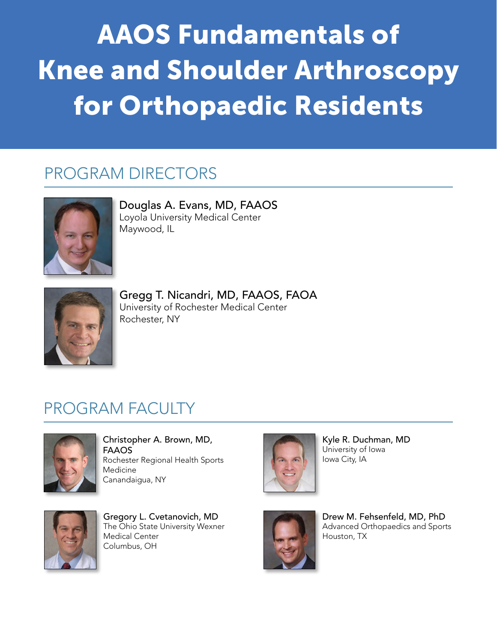## AAOS Fundamentals of Knee and Shoulder Arthroscopy for Orthopaedic Residents

## PROGRAM DIRECTORS



Douglas A. Evans, MD, FAAOS Loyola University Medical Center Maywood, IL



Gregg T. Nicandri, MD, FAAOS, FAOA University of Rochester Medical Center Rochester, NY

## PROGRAM FACULTY



Medicine<br>
Canandaigua, NY<br>
Canandaigua, NY Christopher A. Brown, MD, FAAOS Rochester Regional Health Sports Medicine Canandaigua, NY



Kyle R. Duchman, MD University of Iowa Iowa City, IA



The Ohio State University Wexner<br>Markin State University Wexner Gregory L. Cvetanovich, MD Medical Center Columbus, OH



Drew M. Fehsenfeld, MD, PhD Advanced Orthopaedics and Sports Houston, TX